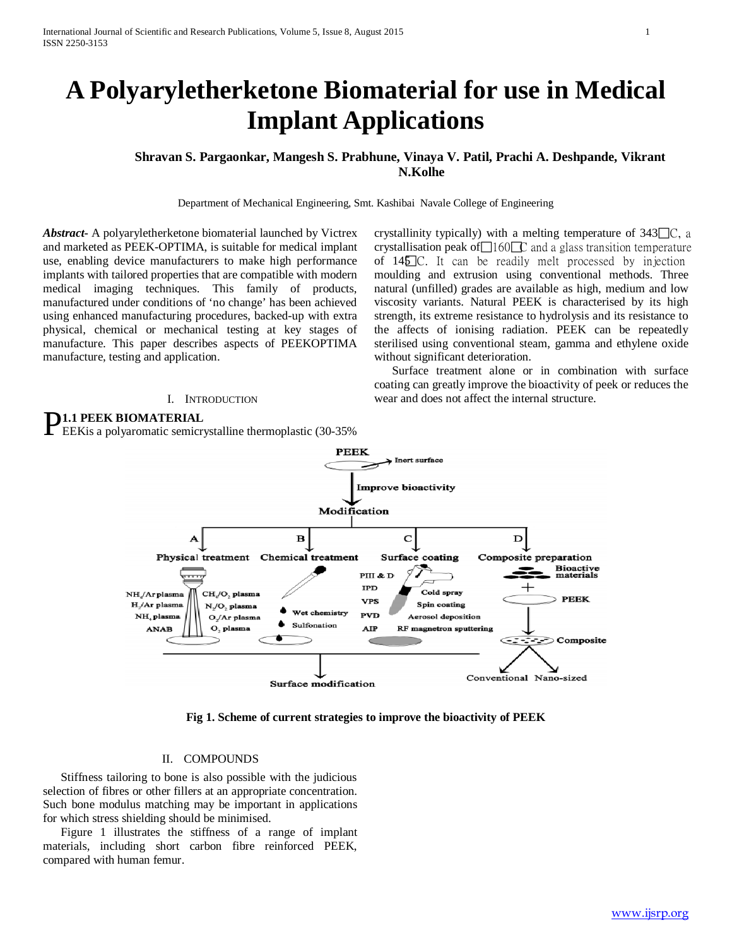# **A Polyaryletherketone Biomaterial for use in Medical Implant Applications**

## **Shravan S. Pargaonkar, Mangesh S. Prabhune, Vinaya V. Patil, Prachi A. Deshpande, Vikrant N.Kolhe**

Department of Mechanical Engineering, Smt. Kashibai Navale College of Engineering

*Abstract***-** A polyaryletherketone biomaterial launched by Victrex and marketed as PEEK-OPTIMA, is suitable for medical implant use, enabling device manufacturers to make high performance implants with tailored properties that are compatible with modern medical imaging techniques. This family of products, manufactured under conditions of 'no change' has been achieved using enhanced manufacturing procedures, backed-up with extra physical, chemical or mechanical testing at key stages of manufacture. This paper describes aspects of PEEKOPTIMA manufacture, testing and application.

#### I. INTRODUCTION

**P1.1 PEEK BIOMATERIAL**<br>EEKis a polyaromatic semicrystalline thermoplastic (30-35%)

**1.1 PEEK BIOMATERIAL**

crystallinity typically) with a melting temperature of  $343\Box C$ , a crystallisation peak of  $160C$  and a glass transition temperature of  $14\overline{5}$  C. It can be readily melt processed by injection moulding and extrusion using conventional methods. Three natural (unfilled) grades are available as high, medium and low viscosity variants. Natural PEEK is characterised by its high strength, its extreme resistance to hydrolysis and its resistance to the affects of ionising radiation. PEEK can be repeatedly sterilised using conventional steam, gamma and ethylene oxide without significant deterioration.

 Surface treatment alone or in combination with surface coating can greatly improve the bioactivity of peek or reduces the wear and does not affect the internal structure.

**Fig 1. Scheme of current strategies to improve the bioactivity of PEEK**

## II. COMPOUNDS

 Stiffness tailoring to bone is also possible with the judicious selection of fibres or other fillers at an appropriate concentration. Such bone modulus matching may be important in applications for which stress shielding should be minimised.

 Figure 1 illustrates the stiffness of a range of implant materials, including short carbon fibre reinforced PEEK, compared with human femur.

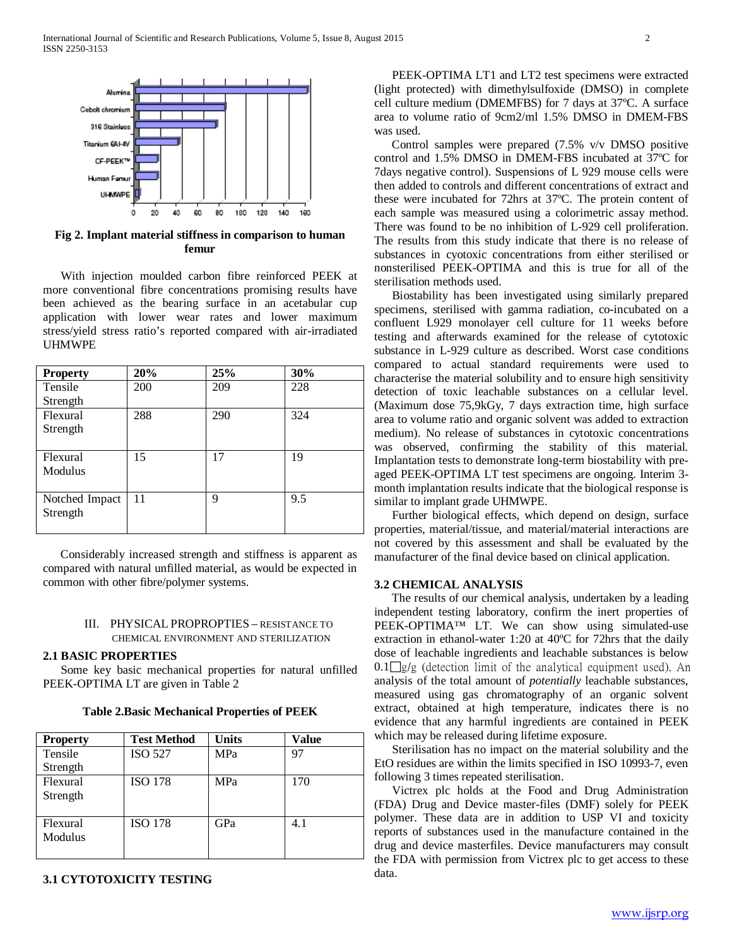

**Fig 2. Implant material stiffness in comparison to human femur**

 With injection moulded carbon fibre reinforced PEEK at more conventional fibre concentrations promising results have been achieved as the bearing surface in an acetabular cup application with lower wear rates and lower maximum stress/yield stress ratio's reported compared with air-irradiated UHMWPE

| <b>Property</b> | 20% | 25% | 30% |
|-----------------|-----|-----|-----|
| Tensile         | 200 | 209 | 228 |
| Strength        |     |     |     |
| Flexural        | 288 | 290 | 324 |
| Strength        |     |     |     |
|                 |     |     |     |
| Flexural        | 15  | 17  | 19  |
| Modulus         |     |     |     |
|                 |     |     |     |
| Notched Impact  | 11  | 9   | 9.5 |
| Strength        |     |     |     |
|                 |     |     |     |

 Considerably increased strength and stiffness is apparent as compared with natural unfilled material, as would be expected in common with other fibre/polymer systems.

### III. PHYSICAL PROPROPTIES – RESISTANCE TO CHEMICAL ENVIRONMENT AND STERILIZATION

#### **2.1 BASIC PROPERTIES**

 Some key basic mechanical properties for natural unfilled PEEK-OPTIMA LT are given in Table 2

**Table 2.Basic Mechanical Properties of PEEK**

| <b>Property</b> | <b>Test Method</b> | <b>Units</b> | <b>Value</b> |
|-----------------|--------------------|--------------|--------------|
| Tensile         | <b>ISO 527</b>     | MPa          | 97           |
| Strength        |                    |              |              |
| Flexural        | <b>ISO 178</b>     | <b>MPa</b>   | 170          |
| Strength        |                    |              |              |
| Flexural        | <b>ISO 178</b>     | GPa          | 4.1          |
| Modulus         |                    |              |              |
|                 |                    |              |              |

#### **3.1 CYTOTOXICITY TESTING**

 PEEK-OPTIMA LT1 and LT2 test specimens were extracted (light protected) with dimethylsulfoxide (DMSO) in complete cell culture medium (DMEMFBS) for 7 days at 37ºC. A surface area to volume ratio of 9cm2/ml 1.5% DMSO in DMEM-FBS was used.

 Control samples were prepared (7.5% v/v DMSO positive control and 1.5% DMSO in DMEM-FBS incubated at 37ºC for 7days negative control). Suspensions of L 929 mouse cells were then added to controls and different concentrations of extract and these were incubated for 72hrs at 37ºC. The protein content of each sample was measured using a colorimetric assay method. There was found to be no inhibition of L-929 cell proliferation. The results from this study indicate that there is no release of substances in cyotoxic concentrations from either sterilised or nonsterilised PEEK-OPTIMA and this is true for all of the sterilisation methods used.

 Biostability has been investigated using similarly prepared specimens, sterilised with gamma radiation, co-incubated on a confluent L929 monolayer cell culture for 11 weeks before testing and afterwards examined for the release of cytotoxic substance in L-929 culture as described. Worst case conditions compared to actual standard requirements were used to characterise the material solubility and to ensure high sensitivity detection of toxic leachable substances on a cellular level. (Maximum dose 75,9kGy, 7 days extraction time, high surface area to volume ratio and organic solvent was added to extraction medium). No release of substances in cytotoxic concentrations was observed, confirming the stability of this material*.*  Implantation tests to demonstrate long-term biostability with preaged PEEK-OPTIMA LT test specimens are ongoing. Interim 3 month implantation results indicate that the biological response is similar to implant grade UHMWPE.

 Further biological effects, which depend on design, surface properties, material/tissue, and material/material interactions are not covered by this assessment and shall be evaluated by the manufacturer of the final device based on clinical application.

### **3.2 CHEMICAL ANALYSIS**

 The results of our chemical analysis, undertaken by a leading independent testing laboratory, confirm the inert properties of PEEK-OPTIMA™ LT. We can show using simulated-use extraction in ethanol-water 1:20 at 40ºC for 72hrs that the daily dose of leachable ingredients and leachable substances is below  $0.1\Box$ g/g (detection limit of the analytical equipment used). An analysis of the total amount of *potentially* leachable substances, measured using gas chromatography of an organic solvent extract, obtained at high temperature, indicates there is no evidence that any harmful ingredients are contained in PEEK which may be released during lifetime exposure.

 Sterilisation has no impact on the material solubility and the EtO residues are within the limits specified in ISO 10993-7, even following 3 times repeated sterilisation.

 Victrex plc holds at the Food and Drug Administration (FDA) Drug and Device master-files (DMF) solely for PEEK polymer. These data are in addition to USP VI and toxicity reports of substances used in the manufacture contained in the drug and device masterfiles. Device manufacturers may consult the FDA with permission from Victrex plc to get access to these data.